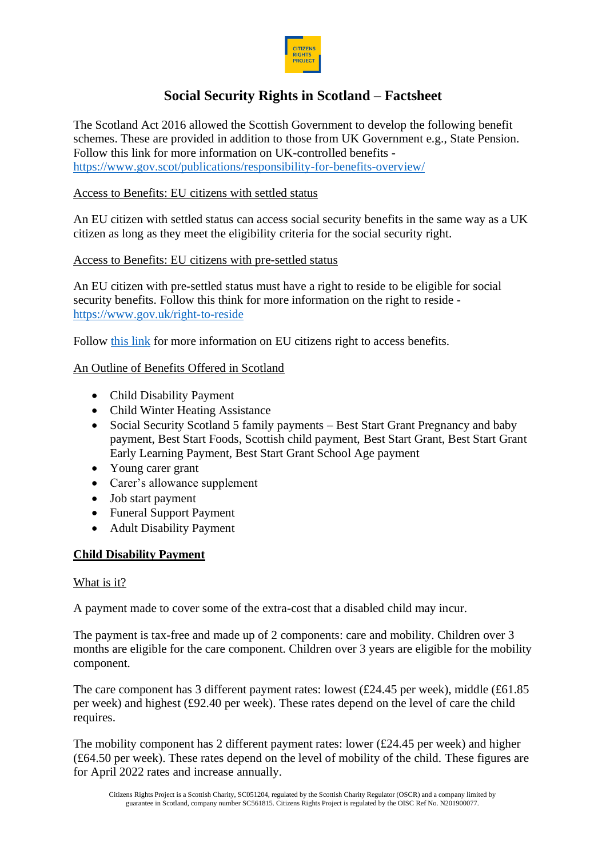

# **Social Security Rights in Scotland – Factsheet**

The Scotland Act 2016 allowed the Scottish Government to develop the following benefit schemes. These are provided in addition to those from UK Government e.g., State Pension. Follow this link for more information on UK-controlled benefits <https://www.gov.scot/publications/responsibility-for-benefits-overview/>

## Access to Benefits: EU citizens with settled status

An EU citizen with settled status can access social security benefits in the same way as a UK citizen as long as they meet the eligibility criteria for the social security right.

### Access to Benefits: EU citizens with pre-settled status

An EU citizen with pre-settled status must have a right to reside to be eligible for social security benefits. Follow this think for more information on the right to reside <https://www.gov.uk/right-to-reside>

Follow [this link](https://citizensrightsproject.org/wp-content/uploads/2022/05/RO-Access-to-benefits-Info-Sheet.pdf) for more information on EU citizens right to access benefits.

## An Outline of Benefits Offered in Scotland

- Child Disability Payment
- Child Winter Heating Assistance
- Social Security Scotland 5 family payments Best Start Grant Pregnancy and baby payment, Best Start Foods, Scottish child payment, Best Start Grant, Best Start Grant Early Learning Payment, Best Start Grant School Age payment
- Young carer grant
- Carer's allowance supplement
- Job start payment
- Funeral Support Payment
- Adult Disability Payment

### **Child Disability Payment**

### What is it?

A payment made to cover some of the extra-cost that a disabled child may incur.

The payment is tax-free and made up of 2 components: care and mobility. Children over 3 months are eligible for the care component. Children over 3 years are eligible for the mobility component.

The care component has 3 different payment rates: lowest (£24.45 per week), middle (£61.85 per week) and highest (£92.40 per week). These rates depend on the level of care the child requires.

The mobility component has 2 different payment rates: lower (£24.45 per week) and higher (£64.50 per week). These rates depend on the level of mobility of the child. These figures are for April 2022 rates and increase annually.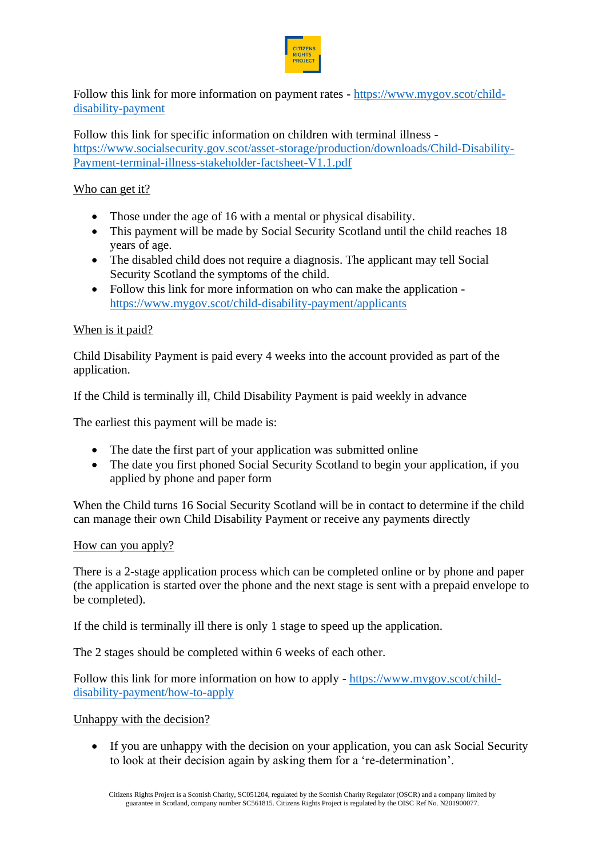

Follow this link for more information on payment rates - [https://www.mygov.scot/child](https://www.mygov.scot/child-disability-payment)[disability-payment](https://www.mygov.scot/child-disability-payment)

Follow this link for specific information on children with terminal illness [https://www.socialsecurity.gov.scot/asset-storage/production/downloads/Child-Disability-](https://www.socialsecurity.gov.scot/asset-storage/production/downloads/Child-Disability-Payment-terminal-illness-stakeholder-factsheet-V1.1.pdf)[Payment-terminal-illness-stakeholder-factsheet-V1.1.pdf](https://www.socialsecurity.gov.scot/asset-storage/production/downloads/Child-Disability-Payment-terminal-illness-stakeholder-factsheet-V1.1.pdf)

## Who can get it?

- Those under the age of 16 with a mental or physical disability.
- This payment will be made by Social Security Scotland until the child reaches 18 years of age.
- The disabled child does not require a diagnosis. The applicant may tell Social Security Scotland the symptoms of the child.
- Follow this link for more information on who can make the application <https://www.mygov.scot/child-disability-payment/applicants>

## When is it paid?

Child Disability Payment is paid every 4 weeks into the account provided as part of the application.

If the Child is terminally ill, Child Disability Payment is paid weekly in advance

The earliest this payment will be made is:

- The date the first part of your application was submitted online
- The date you first phoned Social Security Scotland to begin your application, if you applied by phone and paper form

When the Child turns 16 Social Security Scotland will be in contact to determine if the child can manage their own Child Disability Payment or receive any payments directly

### How can you apply?

There is a 2-stage application process which can be completed online or by phone and paper (the application is started over the phone and the next stage is sent with a prepaid envelope to be completed).

If the child is terminally ill there is only 1 stage to speed up the application.

The 2 stages should be completed within 6 weeks of each other.

Follow this link for more information on how to apply - [https://www.mygov.scot/child](https://www.mygov.scot/child-disability-payment/how-to-apply)[disability-payment/how-to-apply](https://www.mygov.scot/child-disability-payment/how-to-apply)

Unhappy with the decision?

• If you are unhappy with the decision on your application, you can ask Social Security to look at their decision again by asking them for a 're-determination'.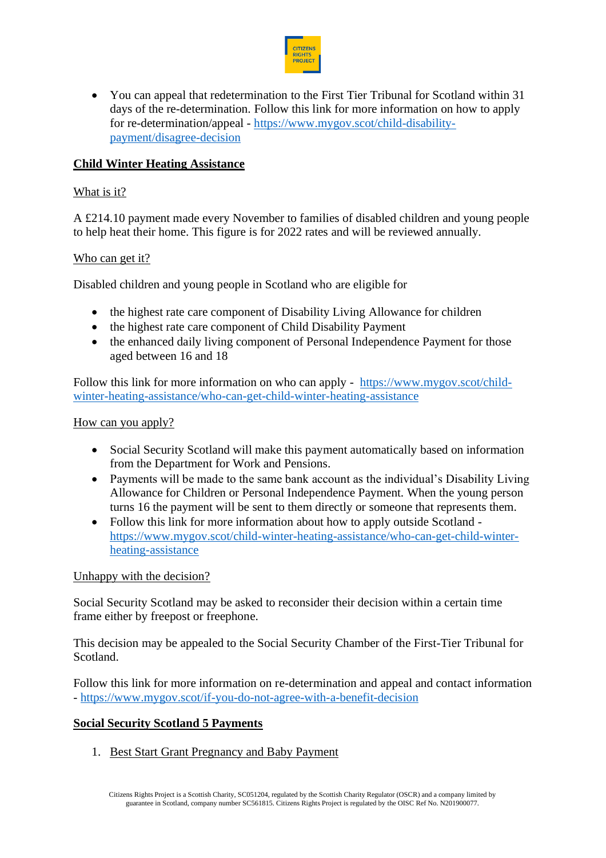

• You can appeal that redetermination to the First Tier Tribunal for Scotland within 31 days of the re-determination. Follow this link for more information on how to apply for re-determination/appeal - [https://www.mygov.scot/child-disability](https://www.mygov.scot/child-disability-payment/disagree-decision)[payment/disagree-decision](https://www.mygov.scot/child-disability-payment/disagree-decision)

## **Child Winter Heating Assistance**

#### What is it?

A £214.10 payment made every November to families of disabled children and young people to help heat their home. This figure is for 2022 rates and will be reviewed annually.

#### Who can get it?

Disabled children and young people in Scotland who are eligible for

- the highest rate care component of Disability Living Allowance for children
- the highest rate care component of Child Disability Payment
- the enhanced daily living component of Personal Independence Payment for those aged between 16 and 18

Follow this link for more information on who can apply - [https://www.mygov.scot/child](https://www.mygov.scot/child-winter-heating-assistance/who-can-get-child-winter-heating-assistance)[winter-heating-assistance/who-can-get-child-winter-heating-assistance](https://www.mygov.scot/child-winter-heating-assistance/who-can-get-child-winter-heating-assistance)

How can you apply?

- Social Security Scotland will make this payment automatically based on information from the Department for Work and Pensions.
- Payments will be made to the same bank account as the individual's Disability Living Allowance for Children or Personal Independence Payment. When the young person turns 16 the payment will be sent to them directly or someone that represents them.
- Follow this link for more information about how to apply outside Scotland [https://www.mygov.scot/child-winter-heating-assistance/who-can-get-child-winter](https://www.mygov.scot/child-winter-heating-assistance/who-can-get-child-winter-heating-assistance)[heating-assistance](https://www.mygov.scot/child-winter-heating-assistance/who-can-get-child-winter-heating-assistance)

#### Unhappy with the decision?

Social Security Scotland may be asked to reconsider their decision within a certain time frame either by freepost or freephone.

This decision may be appealed to the Social Security Chamber of the First-Tier Tribunal for Scotland.

Follow this link for more information on re-determination and appeal and contact information - <https://www.mygov.scot/if-you-do-not-agree-with-a-benefit-decision>

### **Social Security Scotland 5 Payments**

1. Best Start Grant Pregnancy and Baby Payment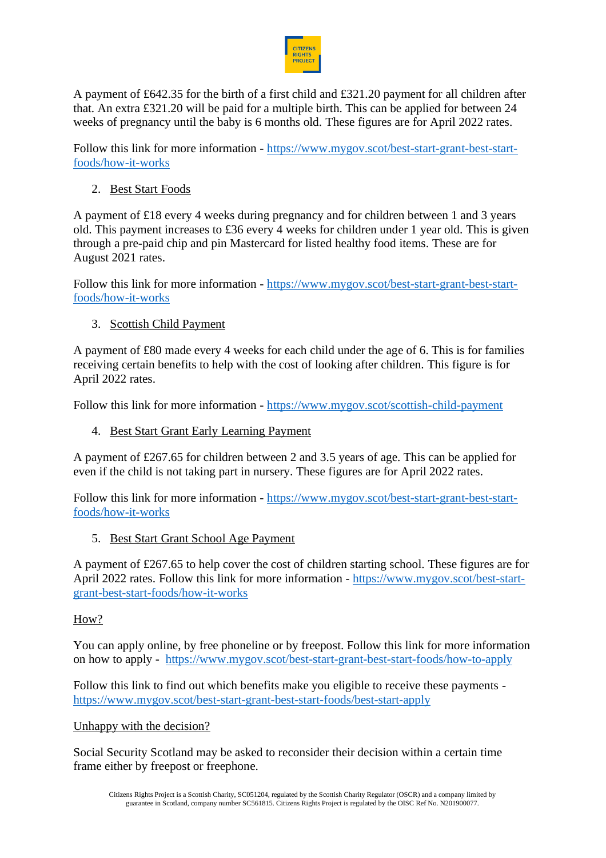

A payment of £642.35 for the birth of a first child and £321.20 payment for all children after that. An extra £321.20 will be paid for a multiple birth. This can be applied for between 24 weeks of pregnancy until the baby is 6 months old. These figures are for April 2022 rates.

Follow this link for more information - [https://www.mygov.scot/best-start-grant-best-start](https://www.mygov.scot/best-start-grant-best-start-foods/how-it-works)[foods/how-it-works](https://www.mygov.scot/best-start-grant-best-start-foods/how-it-works)

2. Best Start Foods

A payment of £18 every 4 weeks during pregnancy and for children between 1 and 3 years old. This payment increases to £36 every 4 weeks for children under 1 year old. This is given through a pre-paid chip and pin Mastercard for listed healthy food items. These are for August 2021 rates.

Follow this link for more information - [https://www.mygov.scot/best-start-grant-best-start](https://www.mygov.scot/best-start-grant-best-start-foods/how-it-works)[foods/how-it-works](https://www.mygov.scot/best-start-grant-best-start-foods/how-it-works)

3. Scottish Child Payment

A payment of £80 made every 4 weeks for each child under the age of 6. This is for families receiving certain benefits to help with the cost of looking after children. This figure is for April 2022 rates.

Follow this link for more information - <https://www.mygov.scot/scottish-child-payment>

4. Best Start Grant Early Learning Payment

A payment of £267.65 for children between 2 and 3.5 years of age. This can be applied for even if the child is not taking part in nursery. These figures are for April 2022 rates.

Follow this link for more information - [https://www.mygov.scot/best-start-grant-best-start](https://www.mygov.scot/best-start-grant-best-start-foods/how-it-works)[foods/how-it-works](https://www.mygov.scot/best-start-grant-best-start-foods/how-it-works)

5. Best Start Grant School Age Payment

A payment of £267.65 to help cover the cost of children starting school. These figures are for April 2022 rates. Follow this link for more information - [https://www.mygov.scot/best-start](https://www.mygov.scot/best-start-grant-best-start-foods/how-it-works)[grant-best-start-foods/how-it-works](https://www.mygov.scot/best-start-grant-best-start-foods/how-it-works)

# How?

You can apply online, by free phoneline or by freepost. Follow this link for more information on how to apply - <https://www.mygov.scot/best-start-grant-best-start-foods/how-to-apply>

Follow this link to find out which benefits make you eligible to receive these payments <https://www.mygov.scot/best-start-grant-best-start-foods/best-start-apply>

# Unhappy with the decision?

Social Security Scotland may be asked to reconsider their decision within a certain time frame either by freepost or freephone.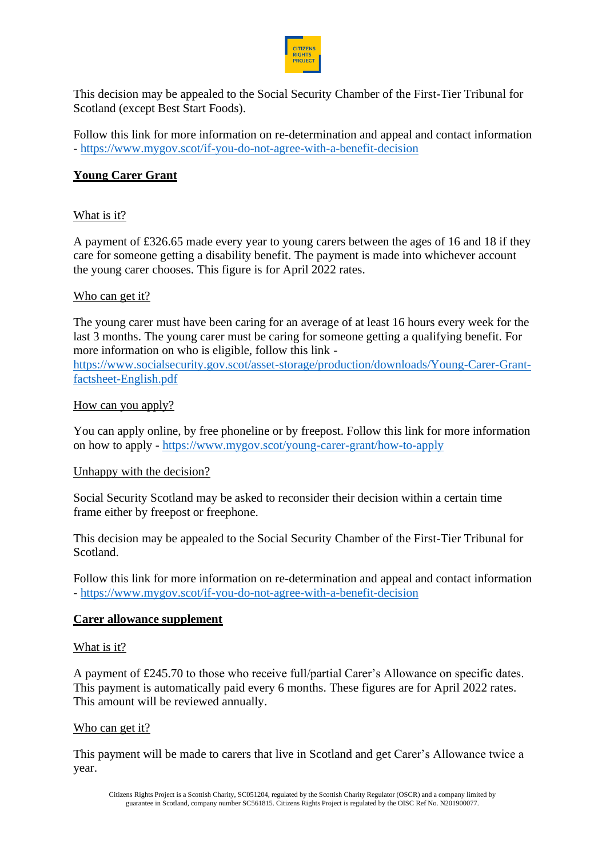

This decision may be appealed to the Social Security Chamber of the First-Tier Tribunal for Scotland (except Best Start Foods).

Follow this link for more information on re-determination and appeal and contact information - <https://www.mygov.scot/if-you-do-not-agree-with-a-benefit-decision>

# **Young Carer Grant**

#### What is it?

A payment of £326.65 made every year to young carers between the ages of 16 and 18 if they care for someone getting a disability benefit. The payment is made into whichever account the young carer chooses. This figure is for April 2022 rates.

#### Who can get it?

The young carer must have been caring for an average of at least 16 hours every week for the last 3 months. The young carer must be caring for someone getting a qualifying benefit. For more information on who is eligible, follow this link -

[https://www.socialsecurity.gov.scot/asset-storage/production/downloads/Young-Carer-Grant](https://www.socialsecurity.gov.scot/asset-storage/production/downloads/Young-Carer-Grant-factsheet-English.pdf)[factsheet-English.pdf](https://www.socialsecurity.gov.scot/asset-storage/production/downloads/Young-Carer-Grant-factsheet-English.pdf)

#### How can you apply?

You can apply online, by free phoneline or by freepost. Follow this link for more information on how to apply - <https://www.mygov.scot/young-carer-grant/how-to-apply>

### Unhappy with the decision?

Social Security Scotland may be asked to reconsider their decision within a certain time frame either by freepost or freephone.

This decision may be appealed to the Social Security Chamber of the First-Tier Tribunal for Scotland.

Follow this link for more information on re-determination and appeal and contact information - <https://www.mygov.scot/if-you-do-not-agree-with-a-benefit-decision>

#### **Carer allowance supplement**

#### What is it?

A payment of £245.70 to those who receive full/partial Carer's Allowance on specific dates. This payment is automatically paid every 6 months. These figures are for April 2022 rates. This amount will be reviewed annually.

#### Who can get it?

This payment will be made to carers that live in Scotland and get Carer's Allowance twice a year.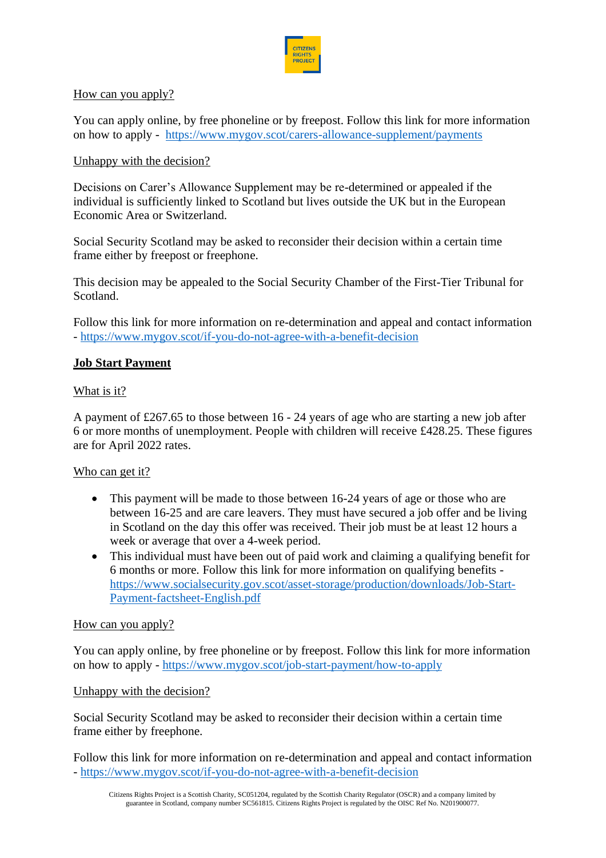

### How can you apply?

You can apply online, by free phoneline or by freepost. Follow this link for more information on how to apply - <https://www.mygov.scot/carers-allowance-supplement/payments>

## Unhappy with the decision?

Decisions on Carer's Allowance Supplement may be re-determined or appealed if the individual is sufficiently linked to Scotland but lives outside the UK but in the European Economic Area or Switzerland.

Social Security Scotland may be asked to reconsider their decision within a certain time frame either by freepost or freephone.

This decision may be appealed to the Social Security Chamber of the First-Tier Tribunal for Scotland.

Follow this link for more information on re-determination and appeal and contact information - <https://www.mygov.scot/if-you-do-not-agree-with-a-benefit-decision>

### **Job Start Payment**

## What is it?

A payment of £267.65 to those between 16 - 24 years of age who are starting a new job after 6 or more months of unemployment. People with children will receive £428.25. These figures are for April 2022 rates.

### Who can get it?

- This payment will be made to those between 16-24 years of age or those who are between 16-25 and are care leavers. They must have secured a job offer and be living in Scotland on the day this offer was received. Their job must be at least 12 hours a week or average that over a 4-week period.
- This individual must have been out of paid work and claiming a qualifying benefit for 6 months or more. Follow this link for more information on qualifying benefits [https://www.socialsecurity.gov.scot/asset-storage/production/downloads/Job-Start-](https://www.socialsecurity.gov.scot/asset-storage/production/downloads/Job-Start-Payment-factsheet-English.pdf)[Payment-factsheet-English.pdf](https://www.socialsecurity.gov.scot/asset-storage/production/downloads/Job-Start-Payment-factsheet-English.pdf)

### How can you apply?

You can apply online, by free phoneline or by freepost. Follow this link for more information on how to apply - <https://www.mygov.scot/job-start-payment/how-to-apply>

### Unhappy with the decision?

Social Security Scotland may be asked to reconsider their decision within a certain time frame either by freephone.

Follow this link for more information on re-determination and appeal and contact information - <https://www.mygov.scot/if-you-do-not-agree-with-a-benefit-decision>

Citizens Rights Project is a Scottish Charity, SC051204, regulated by the Scottish Charity Regulator (OSCR) and a company limited by guarantee in Scotland, company number SC561815. Citizens Rights Project is regulated by the OISC Ref No. N201900077.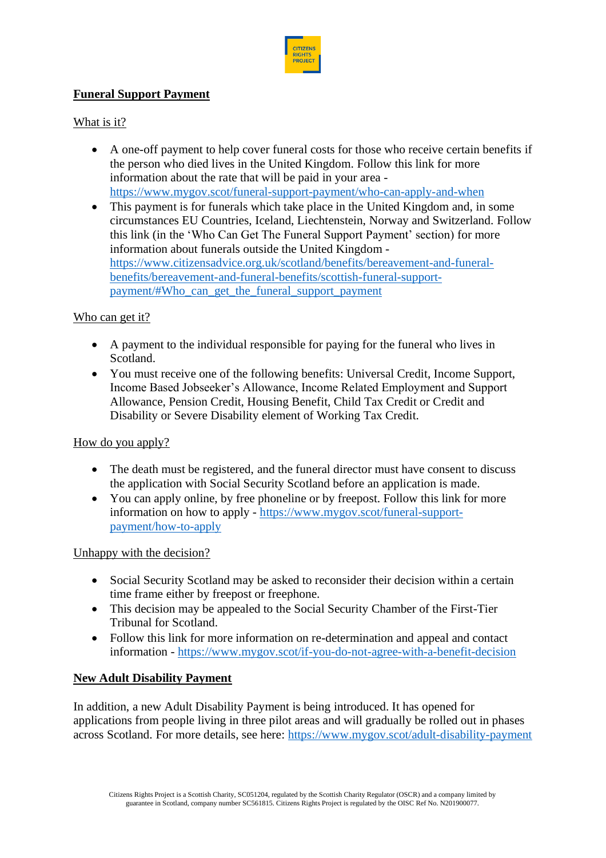

# **Funeral Support Payment**

# What is it?

- A one-off payment to help cover funeral costs for those who receive certain benefits if the person who died lives in the United Kingdom. Follow this link for more information about the rate that will be paid in your area <https://www.mygov.scot/funeral-support-payment/who-can-apply-and-when>
- This payment is for funerals which take place in the United Kingdom and, in some circumstances EU Countries, Iceland, Liechtenstein, Norway and Switzerland. Follow this link (in the 'Who Can Get The Funeral Support Payment' section) for more information about funerals outside the United Kingdom [https://www.citizensadvice.org.uk/scotland/benefits/bereavement-and-funeral](https://www.citizensadvice.org.uk/scotland/benefits/bereavement-and-funeral-benefits/bereavement-and-funeral-benefits/scottish-funeral-support-payment/#Who_can_get_the_funeral_support_payment)[benefits/bereavement-and-funeral-benefits/scottish-funeral-support](https://www.citizensadvice.org.uk/scotland/benefits/bereavement-and-funeral-benefits/bereavement-and-funeral-benefits/scottish-funeral-support-payment/#Who_can_get_the_funeral_support_payment)[payment/#Who\\_can\\_get\\_the\\_funeral\\_support\\_payment](https://www.citizensadvice.org.uk/scotland/benefits/bereavement-and-funeral-benefits/bereavement-and-funeral-benefits/scottish-funeral-support-payment/#Who_can_get_the_funeral_support_payment)

# Who can get it?

- A payment to the individual responsible for paying for the funeral who lives in Scotland.
- You must receive one of the following benefits: Universal Credit, Income Support, Income Based Jobseeker's Allowance, Income Related Employment and Support Allowance, Pension Credit, Housing Benefit, Child Tax Credit or Credit and Disability or Severe Disability element of Working Tax Credit.

### How do you apply?

- The death must be registered, and the funeral director must have consent to discuss the application with Social Security Scotland before an application is made.
- You can apply online, by free phoneline or by freepost. Follow this link for more information on how to apply - [https://www.mygov.scot/funeral-support](https://www.mygov.scot/funeral-support-payment/how-to-apply)[payment/how-to-apply](https://www.mygov.scot/funeral-support-payment/how-to-apply)

# Unhappy with the decision?

- Social Security Scotland may be asked to reconsider their decision within a certain time frame either by freepost or freephone.
- This decision may be appealed to the Social Security Chamber of the First-Tier Tribunal for Scotland.
- Follow this link for more information on re-determination and appeal and contact information - <https://www.mygov.scot/if-you-do-not-agree-with-a-benefit-decision>

# **New Adult Disability Payment**

In addition, a new Adult Disability Payment is being introduced. It has opened for applications from people living in three pilot areas and will gradually be rolled out in phases across Scotland. For more details, see here:<https://www.mygov.scot/adult-disability-payment>